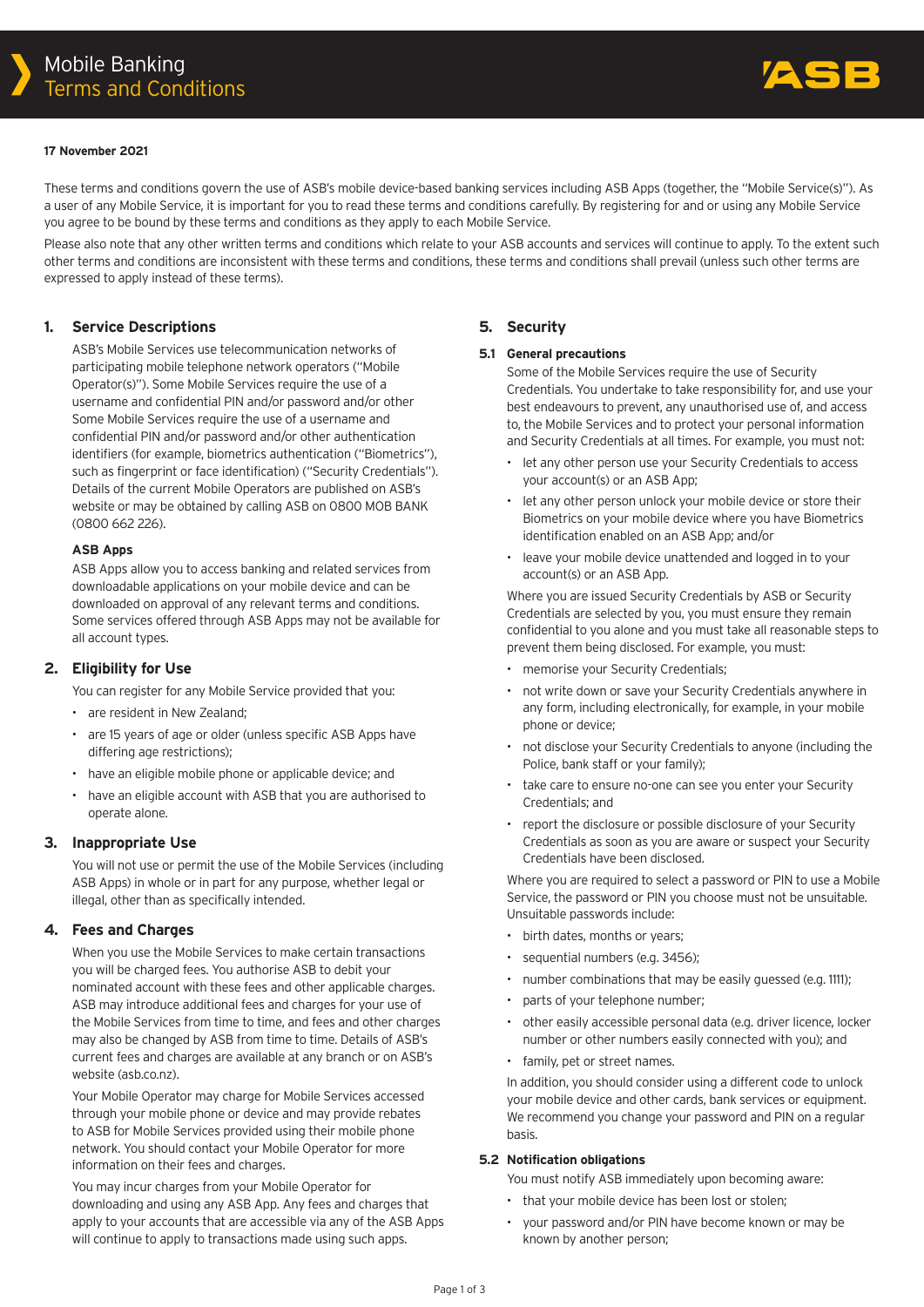

#### **17 November 2021**

These terms and conditions govern the use of ASB's mobile device-based banking services including ASB Apps (together, the "Mobile Service(s)"). As a user of any Mobile Service, it is important for you to read these terms and conditions carefully. By registering for and or using any Mobile Service you agree to be bound by these terms and conditions as they apply to each Mobile Service.

Please also note that any other written terms and conditions which relate to your ASB accounts and services will continue to apply. To the extent such other terms and conditions are inconsistent with these terms and conditions, these terms and conditions shall prevail (unless such other terms are expressed to apply instead of these terms).

## **1. Service Descriptions**

ASB's Mobile Services use telecommunication networks of participating mobile telephone network operators ("Mobile Operator(s)"). Some Mobile Services require the use of a username and confidential PIN and/or password and/or other Some Mobile Services require the use of a username and confidential PIN and/or password and/or other authentication identifiers (for example, biometrics authentication ("Biometrics"), such as fingerprint or face identification) ("Security Credentials"). Details of the current Mobile Operators are published on ASB's website or may be obtained by calling ASB on 0800 MOB BANK (0800 662 226).

#### **ASB Apps**

ASB Apps allow you to access banking and related services from downloadable applications on your mobile device and can be downloaded on approval of any relevant terms and conditions. Some services offered through ASB Apps may not be available for all account types.

## **2. Eligibility for Use**

You can register for any Mobile Service provided that you:

- are resident in New Zealand;
- are 15 years of age or older (unless specific ASB Apps have differing age restrictions);
- have an eligible mobile phone or applicable device; and
- have an eligible account with ASB that you are authorised to operate alone.

## **3. Inappropriate Use**

You will not use or permit the use of the Mobile Services (including ASB Apps) in whole or in part for any purpose, whether legal or illegal, other than as specifically intended.

## **4. Fees and Charges**

When you use the Mobile Services to make certain transactions you will be charged fees. You authorise ASB to debit your nominated account with these fees and other applicable charges. ASB may introduce additional fees and charges for your use of the Mobile Services from time to time, and fees and other charges may also be changed by ASB from time to time. Details of ASB's current fees and charges are available at any branch or on ASB's website (asb.co.nz).

Your Mobile Operator may charge for Mobile Services accessed through your mobile phone or device and may provide rebates to ASB for Mobile Services provided using their mobile phone network. You should contact your Mobile Operator for more information on their fees and charges.

You may incur charges from your Mobile Operator for downloading and using any ASB App. Any fees and charges that apply to your accounts that are accessible via any of the ASB Apps will continue to apply to transactions made using such apps.

## **5. Security**

#### **5.1 General precautions**

Some of the Mobile Services require the use of Security Credentials. You undertake to take responsibility for, and use your best endeavours to prevent, any unauthorised use of, and access to, the Mobile Services and to protect your personal information and Security Credentials at all times. For example, you must not:

- let any other person use your Security Credentials to access your account(s) or an ASB App;
- let any other person unlock your mobile device or store their Biometrics on your mobile device where you have Biometrics identification enabled on an ASB App; and/or
- leave your mobile device unattended and logged in to your account(s) or an ASB App.

Where you are issued Security Credentials by ASB or Security Credentials are selected by you, you must ensure they remain confidential to you alone and you must take all reasonable steps to prevent them being disclosed. For example, you must:

- memorise your Security Credentials;
- not write down or save your Security Credentials anywhere in any form, including electronically, for example, in your mobile phone or device;
- not disclose your Security Credentials to anyone (including the Police, bank staff or your family);
- take care to ensure no-one can see you enter your Security Credentials; and
- report the disclosure or possible disclosure of your Security Credentials as soon as you are aware or suspect your Security Credentials have been disclosed.

Where you are required to select a password or PIN to use a Mobile Service, the password or PIN you choose must not be unsuitable. Unsuitable passwords include:

- birth dates, months or years;
- sequential numbers (e.g. 3456);
- number combinations that may be easily quessed (e.g. 1111):
- parts of your telephone number;
- other easily accessible personal data (e.g. driver licence, locker number or other numbers easily connected with you); and
- family, pet or street names.

In addition, you should consider using a different code to unlock your mobile device and other cards, bank services or equipment. We recommend you change your password and PIN on a regular basis.

#### **5.2 Notification obligations**

You must notify ASB immediately upon becoming aware:

- that your mobile device has been lost or stolen;
- your password and/or PIN have become known or may be known by another person;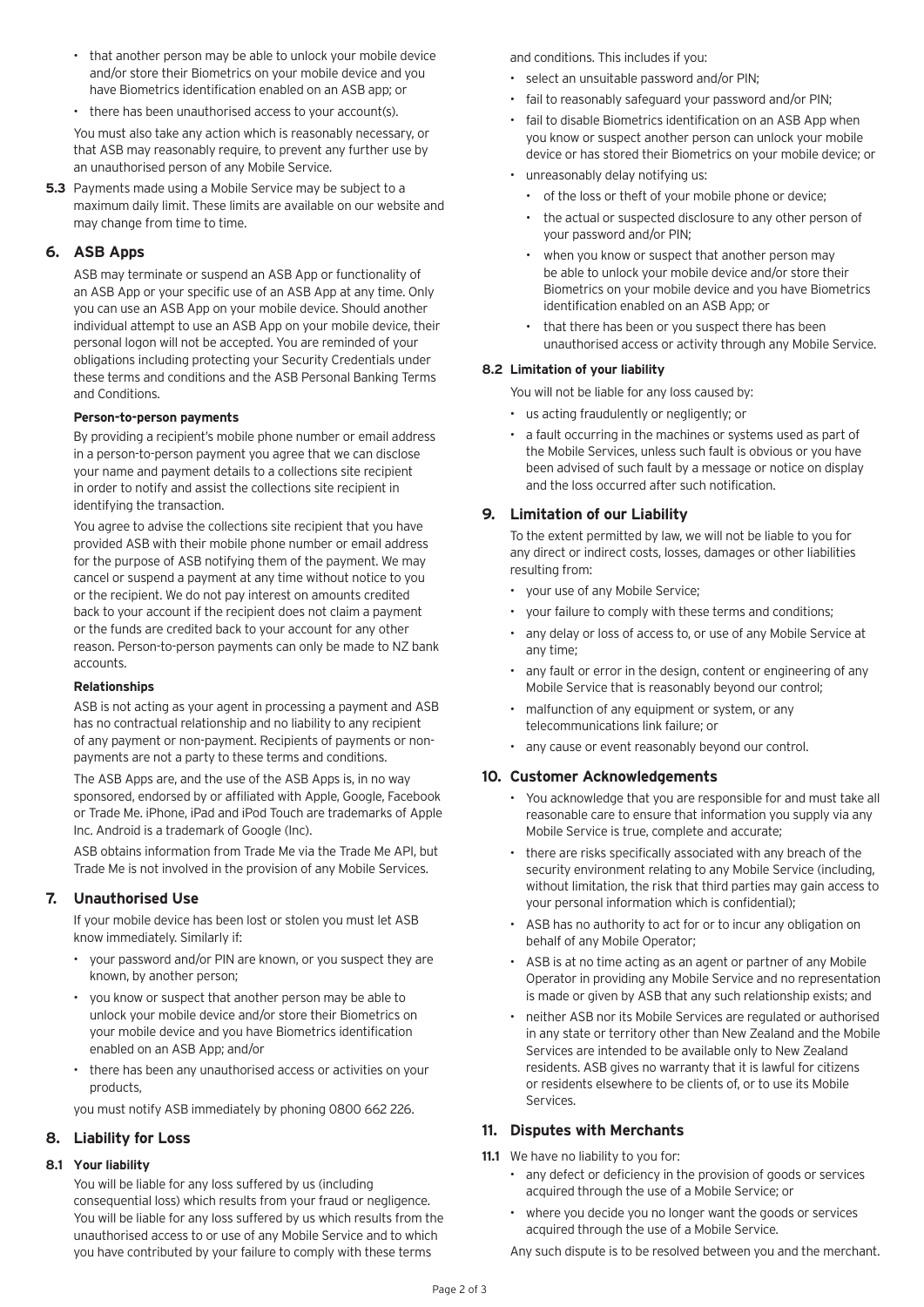- that another person may be able to unlock your mobile device and/or store their Biometrics on your mobile device and you have Biometrics identification enabled on an ASB app; or
- there has been unauthorised access to your account(s).

You must also take any action which is reasonably necessary, or that ASB may reasonably require, to prevent any further use by an unauthorised person of any Mobile Service.

**5.3** Payments made using a Mobile Service may be subject to a maximum daily limit. These limits are available on our website and may change from time to time.

## **6. ASB Apps**

ASB may terminate or suspend an ASB App or functionality of an ASB App or your specific use of an ASB App at any time. Only you can use an ASB App on your mobile device. Should another individual attempt to use an ASB App on your mobile device, their personal logon will not be accepted. You are reminded of your obligations including protecting your Security Credentials under these terms and conditions and the ASB Personal Banking Terms and Conditions.

#### **Person-to-person payments**

By providing a recipient's mobile phone number or email address in a person-to-person payment you agree that we can disclose your name and payment details to a collections site recipient in order to notify and assist the collections site recipient in identifying the transaction.

You agree to advise the collections site recipient that you have provided ASB with their mobile phone number or email address for the purpose of ASB notifying them of the payment. We may cancel or suspend a payment at any time without notice to you or the recipient. We do not pay interest on amounts credited back to your account if the recipient does not claim a payment or the funds are credited back to your account for any other reason. Person-to-person payments can only be made to NZ bank accounts.

#### **Relationships**

ASB is not acting as your agent in processing a payment and ASB has no contractual relationship and no liability to any recipient of any payment or non-payment. Recipients of payments or nonpayments are not a party to these terms and conditions.

The ASB Apps are, and the use of the ASB Apps is, in no way sponsored, endorsed by or affiliated with Apple, Google, Facebook or Trade Me. iPhone, iPad and iPod Touch are trademarks of Apple Inc. Android is a trademark of Google (Inc).

ASB obtains information from Trade Me via the Trade Me API, but Trade Me is not involved in the provision of any Mobile Services.

# **7. Unauthorised Use**

If your mobile device has been lost or stolen you must let ASB know immediately. Similarly if:

- your password and/or PIN are known, or you suspect they are known, by another person;
- you know or suspect that another person may be able to unlock your mobile device and/or store their Biometrics on your mobile device and you have Biometrics identification enabled on an ASB App; and/or
- there has been any unauthorised access or activities on your products,

you must notify ASB immediately by phoning 0800 662 226.

## **8. Liability for Loss**

#### **8.1 Your liability**

You will be liable for any loss suffered by us (including consequential loss) which results from your fraud or negligence. You will be liable for any loss suffered by us which results from the unauthorised access to or use of any Mobile Service and to which you have contributed by your failure to comply with these terms

and conditions. This includes if you:

- select an unsuitable password and/or PIN;
- fail to reasonably safeguard your password and/or PIN;
- fail to disable Biometrics identification on an ASB App when you know or suspect another person can unlock your mobile device or has stored their Biometrics on your mobile device; or
- unreasonably delay notifying us:
	- of the loss or theft of your mobile phone or device;
	- the actual or suspected disclosure to any other person of your password and/or PIN;
	- when you know or suspect that another person may be able to unlock your mobile device and/or store their Biometrics on your mobile device and you have Biometrics identification enabled on an ASB App; or
	- that there has been or you suspect there has been unauthorised access or activity through any Mobile Service.

## **8.2 Limitation of your liability**

You will not be liable for any loss caused by:

- us acting fraudulently or negligently; or
- a fault occurring in the machines or systems used as part of the Mobile Services, unless such fault is obvious or you have been advised of such fault by a message or notice on display and the loss occurred after such notification.

## **9. Limitation of our Liability**

To the extent permitted by law, we will not be liable to you for any direct or indirect costs, losses, damages or other liabilities resulting from:

- your use of any Mobile Service;
- your failure to comply with these terms and conditions;
- any delay or loss of access to, or use of any Mobile Service at any time;
- any fault or error in the design, content or engineering of any Mobile Service that is reasonably beyond our control;
- malfunction of any equipment or system, or any telecommunications link failure; or
- any cause or event reasonably beyond our control.

# **10. Customer Acknowledgements**

- You acknowledge that you are responsible for and must take all reasonable care to ensure that information you supply via any Mobile Service is true, complete and accurate;
- there are risks specifically associated with any breach of the security environment relating to any Mobile Service (including, without limitation, the risk that third parties may gain access to your personal information which is confidential);
- ASB has no authority to act for or to incur any obligation on behalf of any Mobile Operator;
- ASB is at no time acting as an agent or partner of any Mobile Operator in providing any Mobile Service and no representation is made or given by ASB that any such relationship exists; and
- neither ASB nor its Mobile Services are regulated or authorised in any state or territory other than New Zealand and the Mobile Services are intended to be available only to New Zealand residents. ASB gives no warranty that it is lawful for citizens or residents elsewhere to be clients of, or to use its Mobile Services.

# **11. Disputes with Merchants**

- **11.1** We have no liability to you for:
	- any defect or deficiency in the provision of goods or services acquired through the use of a Mobile Service; or
	- where you decide you no longer want the goods or services acquired through the use of a Mobile Service.

Any such dispute is to be resolved between you and the merchant.